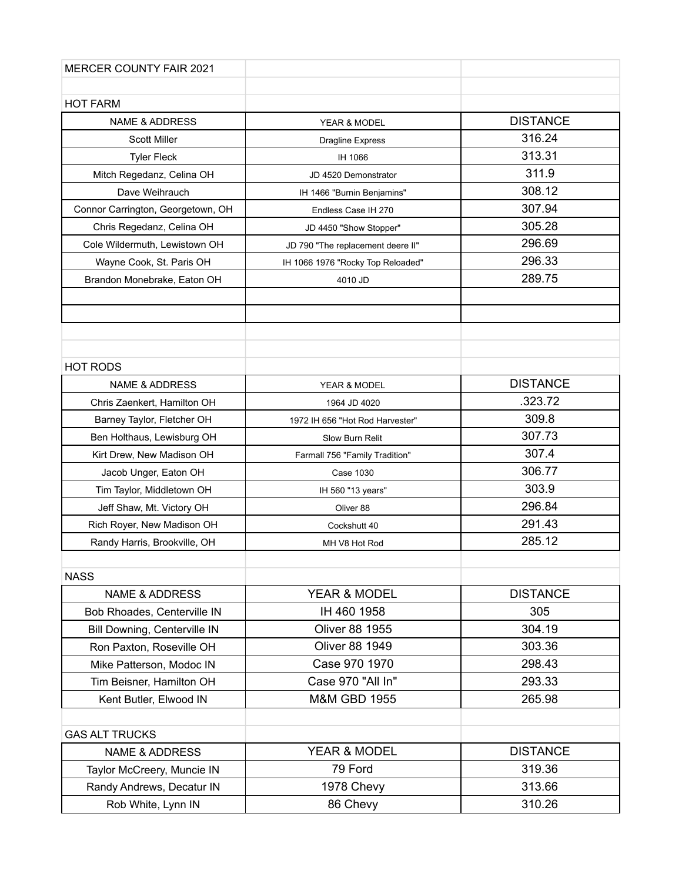| <b>MERCER COUNTY FAIR 2021</b>    |                                   |                 |
|-----------------------------------|-----------------------------------|-----------------|
|                                   |                                   |                 |
| <b>HOT FARM</b>                   |                                   |                 |
| <b>NAME &amp; ADDRESS</b>         | YEAR & MODEL                      | <b>DISTANCE</b> |
| <b>Scott Miller</b>               | <b>Dragline Express</b>           | 316.24          |
| <b>Tyler Fleck</b>                | IH 1066                           | 313.31          |
| Mitch Regedanz, Celina OH         | JD 4520 Demonstrator              | 311.9           |
| Dave Weihrauch                    | IH 1466 "Burnin Benjamins"        | 308.12          |
| Connor Carrington, Georgetown, OH | Endless Case IH 270               | 307.94          |
| Chris Regedanz, Celina OH         | JD 4450 "Show Stopper"            | 305.28          |
| Cole Wildermuth, Lewistown OH     | JD 790 "The replacement deere II" | 296.69          |
| Wayne Cook, St. Paris OH          | IH 1066 1976 "Rocky Top Reloaded" | 296.33          |
| Brandon Monebrake, Eaton OH       | 4010 JD                           | 289.75          |
|                                   |                                   |                 |
|                                   |                                   |                 |
|                                   |                                   |                 |
|                                   |                                   |                 |
| <b>HOT RODS</b>                   |                                   |                 |
| <b>NAME &amp; ADDRESS</b>         | YEAR & MODEL                      | <b>DISTANCE</b> |
| Chris Zaenkert, Hamilton OH       | 1964 JD 4020                      | .323.72         |
| Barney Taylor, Fletcher OH        | 1972 IH 656 "Hot Rod Harvester"   | 309.8           |
| Ben Holthaus, Lewisburg OH        | Slow Burn Relit                   | 307.73          |
| Kirt Drew, New Madison OH         | Farmall 756 "Family Tradition"    | 307.4           |
| Jacob Unger, Eaton OH             | Case 1030                         | 306.77          |
| Tim Taylor, Middletown OH         | IH 560 "13 years"                 | 303.9           |
| Jeff Shaw, Mt. Victory OH         | Oliver 88                         | 296.84          |
| Rich Royer, New Madison OH        | Cockshutt 40                      | 291.43          |
| Randy Harris, Brookville, OH      | MH V8 Hot Rod                     | 285.12          |
|                                   |                                   |                 |
| <b>NASS</b>                       |                                   |                 |
| <b>NAME &amp; ADDRESS</b>         | YEAR & MODEL                      | <b>DISTANCE</b> |
| Bob Rhoades, Centerville IN       | IH 460 1958                       | 305             |
| Bill Downing, Centerville IN      | <b>Oliver 88 1955</b>             | 304.19          |
| Ron Paxton, Roseville OH          | <b>Oliver 88 1949</b>             | 303.36          |
| Mike Patterson, Modoc IN          | Case 970 1970                     | 298.43          |
| Tim Beisner, Hamilton OH          | Case 970 "All In"                 | 293.33          |
| Kent Butler, Elwood IN            | <b>M&amp;M GBD 1955</b>           | 265.98          |
|                                   |                                   |                 |
| <b>GAS ALT TRUCKS</b>             |                                   |                 |
| <b>NAME &amp; ADDRESS</b>         | YEAR & MODEL                      | <b>DISTANCE</b> |
| Taylor McCreery, Muncie IN        | 79 Ford                           | 319.36          |
| Randy Andrews, Decatur IN         | 1978 Chevy                        | 313.66          |
| Rob White, Lynn IN                | 86 Chevy                          | 310.26          |